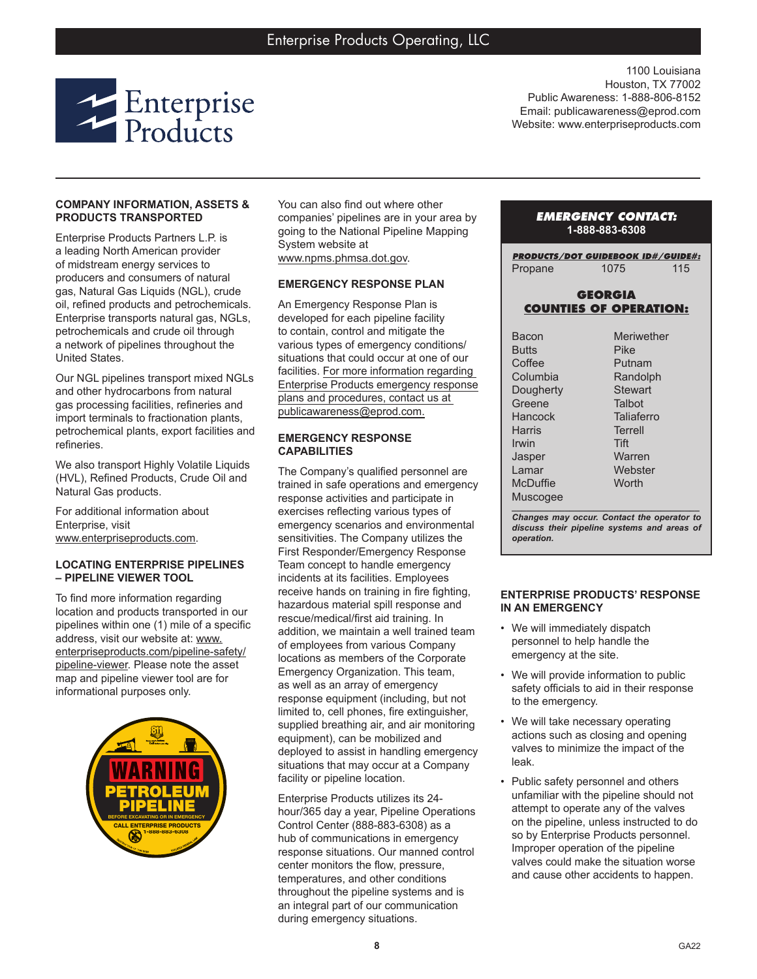

1100 Louisiana Houston, TX 77002 Public Awareness: 1-888-806-8152 Email: publicawareness@eprod.com Website: www.enterpriseproducts.com

## **COMPANY INFORMATION, ASSETS & PRODUCTS TRANSPORTED**

Enterprise Products Partners L.P. is a leading North American provider of midstream energy services to producers and consumers of natural gas, Natural Gas Liquids (NGL), crude oil, refined products and petrochemicals. Enterprise transports natural gas, NGLs, petrochemicals and crude oil through a network of pipelines throughout the United States.

Our NGL pipelines transport mixed NGLs and other hydrocarbons from natural gas processing facilities, refineries and import terminals to fractionation plants, petrochemical plants, export facilities and refineries.

We also transport Highly Volatile Liquids (HVL), Refined Products, Crude Oil and Natural Gas products.

For additional information about Enterprise, visit www.enterpriseproducts.com.

#### **LOCATING ENTERPRISE PIPELINES – PIPELINE VIEWER TOOL**

To find more information regarding location and products transported in our pipelines within one (1) mile of a specific address, visit our website at: www. enterpriseproducts.com/pipeline-safety/ pipeline-viewer. Please note the asset map and pipeline viewer tool are for informational purposes only.



You can also find out where other companies' pipelines are in your area by going to the National Pipeline Mapping System website at www.npms.phmsa.dot.gov.

# **EMERGENCY RESPONSE PLAN**

An Emergency Response Plan is developed for each pipeline facility to contain, control and mitigate the various types of emergency conditions/ situations that could occur at one of our facilities. For more information regarding Enterprise Products emergency response plans and procedures, contact us at publicawareness@eprod.com.

## **EMERGENCY RESPONSE CAPABILITIES**

The Company's qualified personnel are trained in safe operations and emergency response activities and participate in exercises reflecting various types of emergency scenarios and environmental sensitivities. The Company utilizes the First Responder/Emergency Response Team concept to handle emergency incidents at its facilities. Employees receive hands on training in fire fighting, hazardous material spill response and rescue/medical/first aid training. In addition, we maintain a well trained team of employees from various Company locations as members of the Corporate Emergency Organization. This team, as well as an array of emergency response equipment (including, but not limited to, cell phones, fire extinguisher, supplied breathing air, and air monitoring equipment), can be mobilized and deployed to assist in handling emergency situations that may occur at a Company facility or pipeline location.

Enterprise Products utilizes its 24 hour/365 day a year, Pipeline Operations Control Center (888-883-6308) as a hub of communications in emergency response situations. Our manned control center monitors the flow, pressure, temperatures, and other conditions throughout the pipeline systems and is an integral part of our communication during emergency situations.

# *EMERGENCY CONTACT:* **1-888-883-6308**

*PRODUCTS/DOT GUIDEBOOK ID#/GUIDE#:* Propane 1075 115

## **GEORGIA COUNTIES OF OPERATION:**

| Meriwether     |
|----------------|
| <b>Pike</b>    |
| Putnam         |
| Randolph       |
| <b>Stewart</b> |
| Talbot         |
| Taliaferro     |
| Terrell        |
| Tift           |
| Warren         |
| Webster        |
| Worth          |
|                |
|                |

*Changes may occur. Contact the operator to discuss their pipeline systems and areas of operation.*

#### **ENTERPRISE PRODUCTS' RESPONSE IN AN EMERGENCY**

- We will immediately dispatch personnel to help handle the emergency at the site.
- We will provide information to public safety officials to aid in their response to the emergency.
- We will take necessary operating actions such as closing and opening valves to minimize the impact of the leak.
- Public safety personnel and others unfamiliar with the pipeline should not attempt to operate any of the valves on the pipeline, unless instructed to do so by Enterprise Products personnel. Improper operation of the pipeline valves could make the situation worse and cause other accidents to happen.